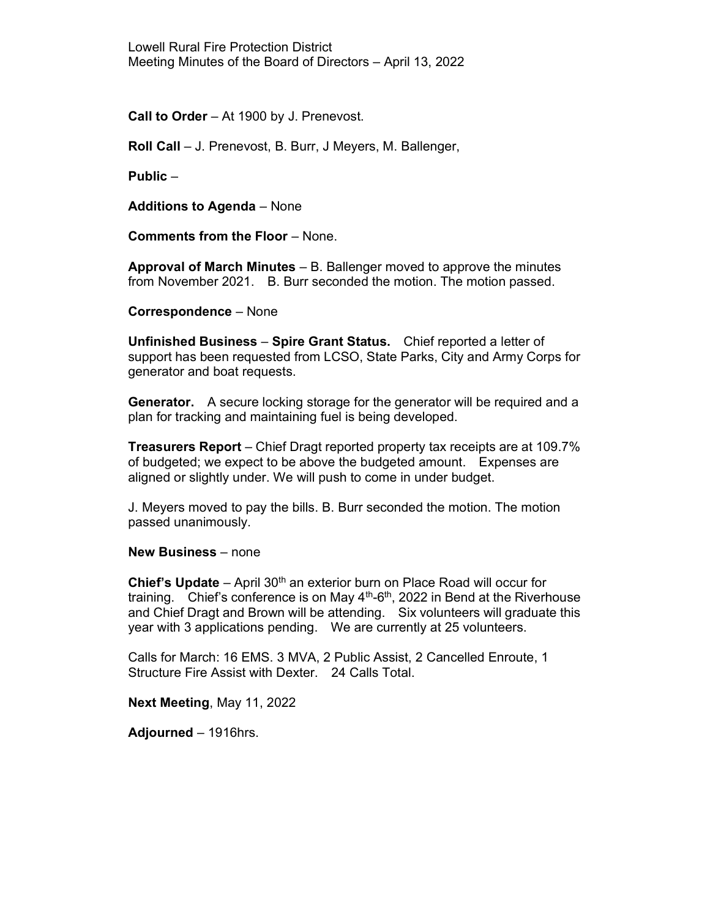Call to Order – At 1900 by J. Prenevost.

Roll Call – J. Prenevost, B. Burr, J Meyers, M. Ballenger,

Public –

Additions to Agenda – None

Comments from the Floor – None.

Approval of March Minutes  $-$  B. Ballenger moved to approve the minutes from November 2021. B. Burr seconded the motion. The motion passed.

Correspondence – None

Unfinished Business – Spire Grant Status. Chief reported a letter of support has been requested from LCSO, State Parks, City and Army Corps for generator and boat requests.

Generator. A secure locking storage for the generator will be required and a plan for tracking and maintaining fuel is being developed.

Treasurers Report – Chief Dragt reported property tax receipts are at 109.7% of budgeted; we expect to be above the budgeted amount. Expenses are aligned or slightly under. We will push to come in under budget.

J. Meyers moved to pay the bills. B. Burr seconded the motion. The motion passed unanimously.

New Business – none

**Chief's Update** – April 30<sup>th</sup> an exterior burn on Place Road will occur for training. Chief's conference is on May  $4<sup>th</sup>$ -6<sup>th</sup>, 2022 in Bend at the Riverhouse and Chief Dragt and Brown will be attending. Six volunteers will graduate this year with 3 applications pending. We are currently at 25 volunteers.

Calls for March: 16 EMS. 3 MVA, 2 Public Assist, 2 Cancelled Enroute, 1 Structure Fire Assist with Dexter. 24 Calls Total.

Next Meeting, May 11, 2022

Adjourned – 1916hrs.